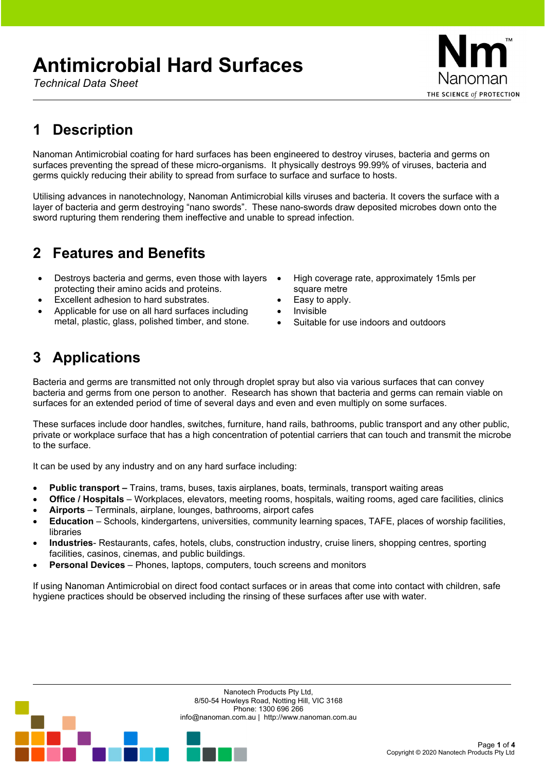*Technical Data Sheet* 

Nanoman THE SCIENCE of PROTECTION

#### **1 Description**

Nanoman Antimicrobial coating for hard surfaces has been engineered to destroy viruses, bacteria and germs on surfaces preventing the spread of these micro-organisms. It physically destroys 99.99% of viruses, bacteria and germs quickly reducing their ability to spread from surface to surface and surface to hosts.

Utilising advances in nanotechnology, Nanoman Antimicrobial kills viruses and bacteria. It covers the surface with a layer of bacteria and germ destroying "nano swords". These nano-swords draw deposited microbes down onto the sword rupturing them rendering them ineffective and unable to spread infection.

#### **2 Features and Benefits**

- Destroys bacteria and germs, even those with layers  $\bullet$ protecting their amino acids and proteins.
- Excellent adhesion to hard substrates.
- Applicable for use on all hard surfaces including metal, plastic, glass, polished timber, and stone.
- High coverage rate, approximately 15mls per square metre
- Easy to apply.
- Invisible
- Suitable for use indoors and outdoors

#### **3 Applications**

Bacteria and germs are transmitted not only through droplet spray but also via various surfaces that can convey bacteria and germs from one person to another. Research has shown that bacteria and germs can remain viable on surfaces for an extended period of time of several days and even and even multiply on some surfaces.

These surfaces include door handles, switches, furniture, hand rails, bathrooms, public transport and any other public, private or workplace surface that has a high concentration of potential carriers that can touch and transmit the microbe to the surface.

It can be used by any industry and on any hard surface including:

- **Public transport** Trains, trams, buses, taxis airplanes, boats, terminals, transport waiting areas
- **Office / Hospitals** Workplaces, elevators, meeting rooms, hospitals, waiting rooms, aged care facilities, clinics
- **Airports** Terminals, airplane, lounges, bathrooms, airport cafes
- **Education** Schools, kindergartens, universities, community learning spaces, TAFE, places of worship facilities, libraries
- **Industries** Restaurants, cafes, hotels, clubs, construction industry, cruise liners, shopping centres, sporting facilities, casinos, cinemas, and public buildings.
- **Personal Devices** Phones, laptops, computers, touch screens and monitors

If using Nanoman Antimicrobial on direct food contact surfaces or in areas that come into contact with children, safe hygiene practices should be observed including the rinsing of these surfaces after use with water.



Nanotech Products Pty Ltd, 8/50-54 Howleys Road, Notting Hill, VIC 3168 Phone: 1300 696 266 info@nanoman.com.au | http://www.nanoman.com.au

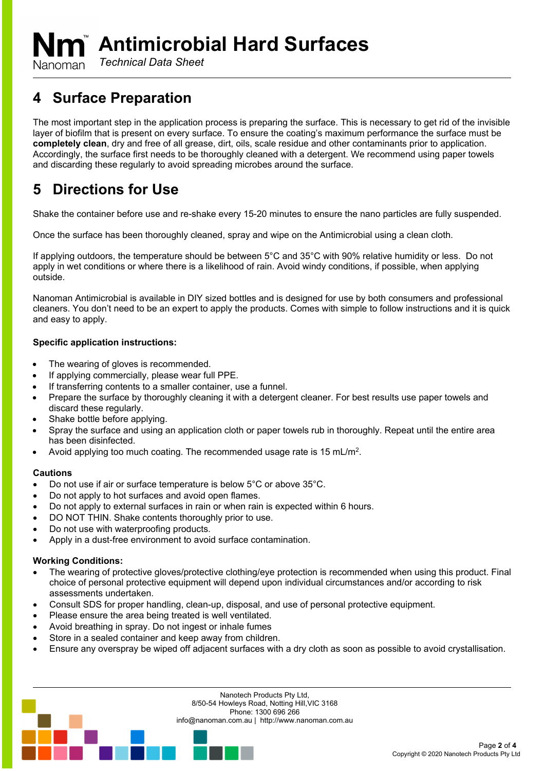*Technical Data Sheet*  Nanoman

#### **4 Surface Preparation**

The most important step in the application process is preparing the surface. This is necessary to get rid of the invisible layer of biofilm that is present on every surface. To ensure the coating's maximum performance the surface must be **completely clean**, dry and free of all grease, dirt, oils, scale residue and other contaminants prior to application. Accordingly, the surface first needs to be thoroughly cleaned with a detergent. We recommend using paper towels and discarding these regularly to avoid spreading microbes around the surface.

## **5 Directions for Use**

Shake the container before use and re-shake every 15-20 minutes to ensure the nano particles are fully suspended.

Once the surface has been thoroughly cleaned, spray and wipe on the Antimicrobial using a clean cloth.

If applying outdoors, the temperature should be between 5°C and 35°C with 90% relative humidity or less. Do not apply in wet conditions or where there is a likelihood of rain. Avoid windy conditions, if possible, when applying outside.

Nanoman Antimicrobial is available in DIY sized bottles and is designed for use by both consumers and professional cleaners. You don't need to be an expert to apply the products. Comes with simple to follow instructions and it is quick and easy to apply.

#### **Specific application instructions:**

- The wearing of gloves is recommended.
- If applying commercially, please wear full PPE.
- If transferring contents to a smaller container, use a funnel.
- Prepare the surface by thoroughly cleaning it with a detergent cleaner. For best results use paper towels and discard these regularly.
- Shake bottle before applying.
- Spray the surface and using an application cloth or paper towels rub in thoroughly. Repeat until the entire area has been disinfected.
- Avoid applying too much coating. The recommended usage rate is 15 mL/m2.

#### **Cautions**

- Do not use if air or surface temperature is below 5°C or above 35°C.
- Do not apply to hot surfaces and avoid open flames.
- Do not apply to external surfaces in rain or when rain is expected within 6 hours.
- DO NOT THIN. Shake contents thoroughly prior to use.
- Do not use with waterproofing products.
- Apply in a dust-free environment to avoid surface contamination.

#### **Working Conditions:**

- The wearing of protective gloves/protective clothing/eye protection is recommended when using this product. Final choice of personal protective equipment will depend upon individual circumstances and/or according to risk assessments undertaken.
- Consult SDS for proper handling, clean-up, disposal, and use of personal protective equipment.
- Please ensure the area being treated is well ventilated.
- Avoid breathing in spray. Do not ingest or inhale fumes
- Store in a sealed container and keep away from children.
- Ensure any overspray be wiped off adjacent surfaces with a dry cloth as soon as possible to avoid crystallisation.

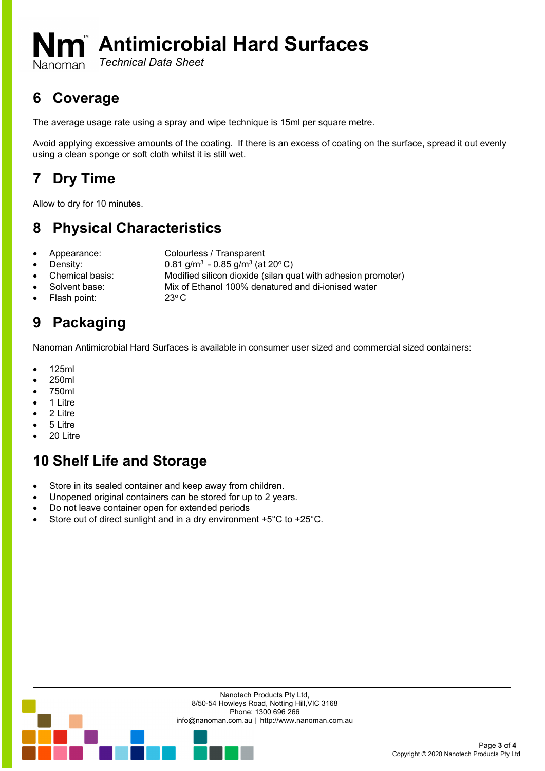*Technical Data Sheet*  Nanoman

## **6 Coverage**

The average usage rate using a spray and wipe technique is 15ml per square metre.

Avoid applying excessive amounts of the coating. If there is an excess of coating on the surface, spread it out evenly using a clean sponge or soft cloth whilst it is still wet.

## **7 Dry Time**

Allow to dry for 10 minutes.

#### **8 Physical Characteristics**

- Appearance: Colourless / Transparent
- 
- Density:  $0.81 \text{ q/m}^3 0.85 \text{ q/m}^3 \text{ (at } 20^{\circ} \text{C)}$ 
	- Chemical basis: Modified silicon dioxide (silan quat with adhesion promoter)

Solvent base: Mix of Ethanol 100% denatured and di-ionised water

Flash point: 23°C

### **9 Packaging**

Nanoman Antimicrobial Hard Surfaces is available in consumer user sized and commercial sized containers:

- 125ml
- 250ml
- 750ml
- 1 Litre
- 2 Litre
- 5 Litre
- 20 Litre

### **10 Shelf Life and Storage**

- Store in its sealed container and keep away from children.
- Unopened original containers can be stored for up to 2 years.
- Do not leave container open for extended periods
- Store out of direct sunlight and in a dry environment +5°C to +25°C.